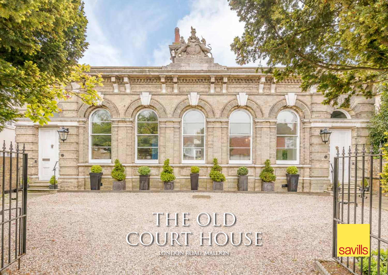# THE OLD Court House

amatina **Chill** at more a **Carl Conserved Catalog** 

**London Road, Maldon** 

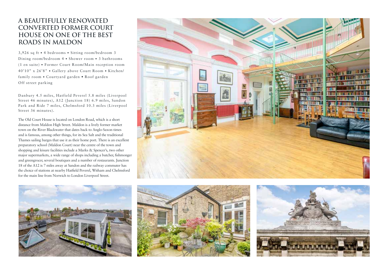### **A beautifully renovated converted former court house on one of the best roads in Maldon**

3,926 sq ft • 4 bedrooms • Sitting room/bedroom 3 Dining room/bedroom 4 • Shower room • 3 bathrooms (1 en suite) • Former Court Room/Main reception room 40'10" x 26'8" • Gallery above Court Room • Kitchen/ family room • Courtyard garden • Roof garden Off street parking

Danbury 4.5 miles, Hatfield Peverel 5.8 miles (Liverpool Street 46 minutes), A12 (Junction 18) 6.9 miles, Sandon Park and Ride 7 miles, Chelmsford 10.3 miles (Liverpool Street 36 minutes).

The Old Court House is located on London Road, which is a short distance from Maldon High Street. Maldon is a lively former market town on the River Blackwater that dates back to Anglo-Saxon times and is famous, among other things, for its Sea Salt and the traditional Thames sailing barges that use it as their home port. There is an excellent preparatory school (Maldon Court) near the centre of the town and shopping and leisure facilities include a Marks & Spencer's, two other major supermarkets, a wide range of shops including a butcher, fishmonger and greengrocer, several boutiques and a number of restaurants. Junction 18 of the A12 is 7 miles away at Sandon and the railway commuter has the choice of stations at nearby Hatfield Peverel, Witham and Chelmsford for the main line from Norwich to London Liverpool Street.







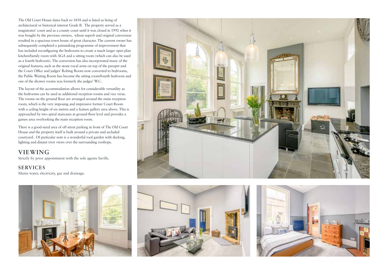The Old Court House dates back to 1858 and is listed as being of architectural or historical interest Grade II. The property served as a magistrates' court and as a county court until it was closed in 1992 when it was bought by the previous owners, whose superb and original conversion resulted in a spacious town house of great character. The current owner has subsequently completed a painstaking programme of improvement that has included reconfiguring the bedrooms to create a much larger open plan kitchen/family room with AGA and a sitting room (which can also be used as a fourth bedroom). The conversion has also incorporated many of the original features, such as the stone royal arms on top of the parapet and the Court Office and judges' Robing Room now converted to bedrooms, the Public Waiting Room has become the sitting room/fourth bedroom and one of the shower rooms was formerly the judges' W.C.

The layout of the accommodation allows for considerable versatility as the bedrooms can be used as additional reception rooms and vice versa. The rooms on the ground floor are arranged around the main reception room, which is the very imposing and impressive former Court Room with a ceiling height of six metres and a feature gallery area above. This is approached by two spiral staircases at ground floor level and provides a games area overlooking the main reception room.

There is a good-sized area of off street parking in front of The Old Court House and the property itself is built around a private and secluded courtyard. Of particular note is a wonderful roof garden with decking, lighting and distant river views over the surrounding rooftops.

#### **Viewing**

Strictly by prior appointment with the sole agents Savills.

#### **Services**

Mains water, electricity, gas and drainage.